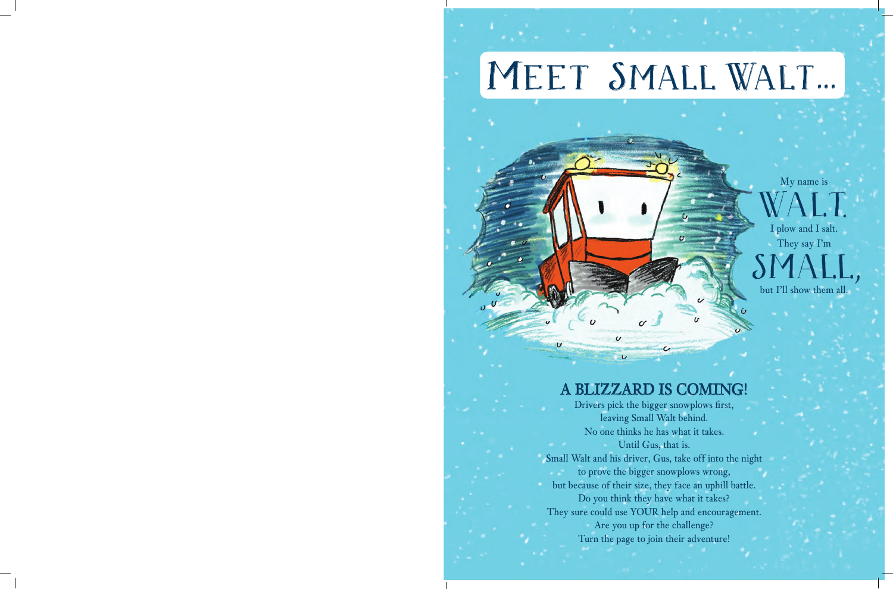# MEET SMALL WALT...

Ù

 $\boldsymbol{\omega}$ 

My name is WALT .

I plow and I salt. They say I'm SMA

,

but I'll show them all.

#### A BLIZZARD IS COMING!

 $\epsilon$ 

 $\overline{U}$ 

Drivers pick the bigger snowplows first, leaving Small Walt behind. No one thinks he has what it takes. Until Gus, that is. Small Walt and his driver, Gus, take off into the night to prove the bigger snowplows wrong, but because of their size, they face an uphill battle. Do you think they have what it takes? They sure could use YOUR help and encouragement. Are you up for the challenge? Turn the page to join their adventure!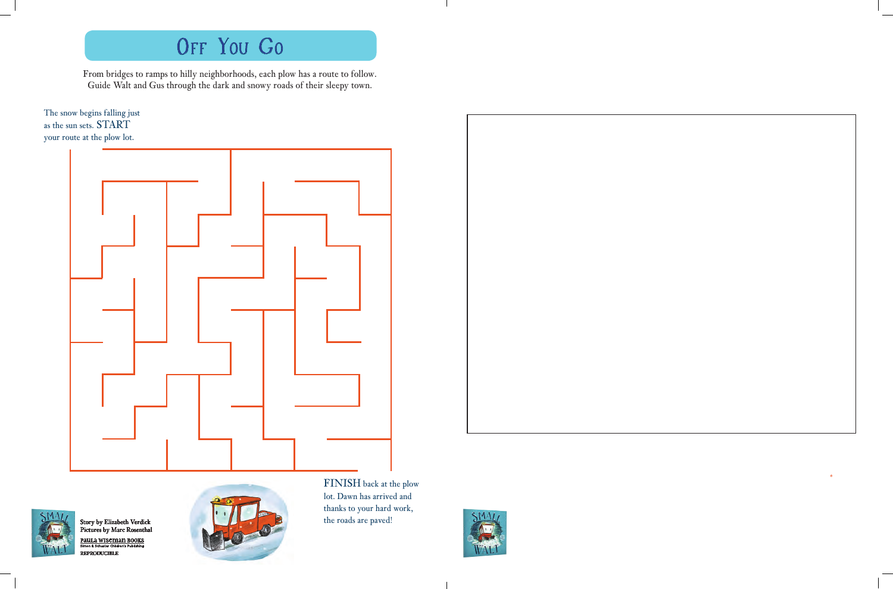## OFF You Go

From bridges to ramps to hilly neighborhoods, each plow has a route to follow. Guide Walt and Gus through the dark and snowy roads of their sleepy town.

The snow begins falling just as the sun sets. START your route at the plow lot.





Story by Elizabeth Verdick Pictures by Marc Rosenthal PAULA WISEMAN BOOKS<br>Simon & Schuster Children's Publishing

REPRODUCIBLE



FINISH back at the plow lot. Dawn has arrived and thanks to your hard work, the roads are paved!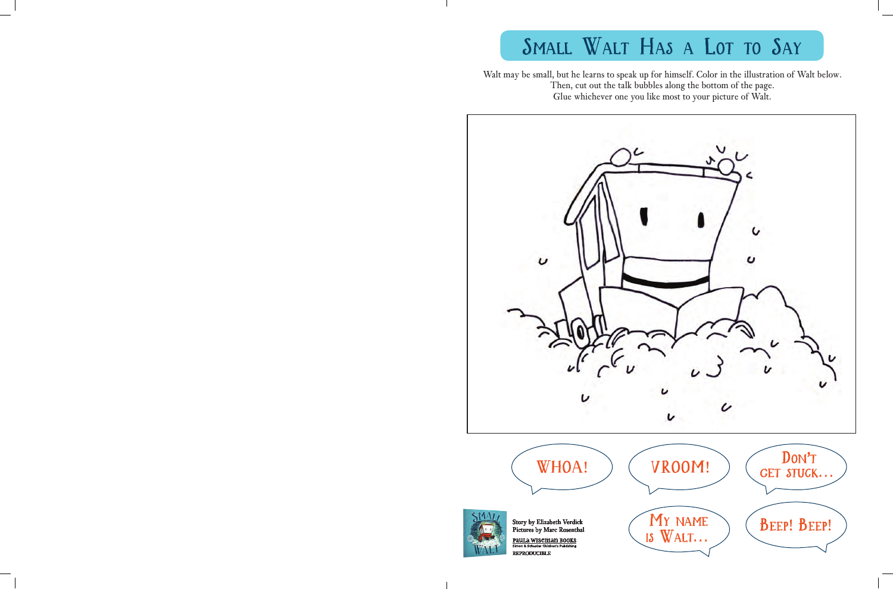## SMALL WALT HAS A LOT TO SAY

Walt may be small, but he learns to speak up for himself. Color in the illustration of Walt below. Then, cut out the talk bubbles along the bottom of the page. Glue whichever one you like most to your picture of Walt.